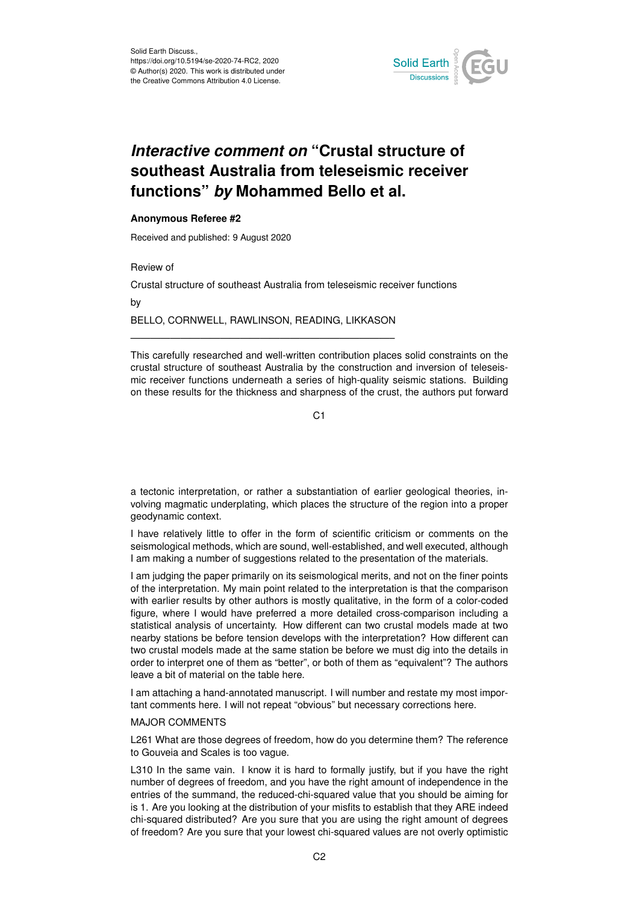

## *Interactive comment on* **"Crustal structure of southeast Australia from teleseismic receiver functions"** *by* **Mohammed Bello et al.**

## **Anonymous Referee #2**

Received and published: 9 August 2020

Review of

Crustal structure of southeast Australia from teleseismic receiver functions

by

BELLO, CORNWELL, RAWLINSON, READING, LIKKASON ——————————————————————————–

This carefully researched and well-written contribution places solid constraints on the crustal structure of southeast Australia by the construction and inversion of teleseismic receiver functions underneath a series of high-quality seismic stations. Building on these results for the thickness and sharpness of the crust, the authors put forward

C<sub>1</sub>

a tectonic interpretation, or rather a substantiation of earlier geological theories, involving magmatic underplating, which places the structure of the region into a proper geodynamic context.

I have relatively little to offer in the form of scientific criticism or comments on the seismological methods, which are sound, well-established, and well executed, although I am making a number of suggestions related to the presentation of the materials.

I am judging the paper primarily on its seismological merits, and not on the finer points of the interpretation. My main point related to the interpretation is that the comparison with earlier results by other authors is mostly qualitative, in the form of a color-coded figure, where I would have preferred a more detailed cross-comparison including a statistical analysis of uncertainty. How different can two crustal models made at two nearby stations be before tension develops with the interpretation? How different can two crustal models made at the same station be before we must dig into the details in order to interpret one of them as "better", or both of them as "equivalent"? The authors leave a bit of material on the table here.

I am attaching a hand-annotated manuscript. I will number and restate my most important comments here. I will not repeat "obvious" but necessary corrections here.

## MAJOR COMMENTS

L261 What are those degrees of freedom, how do you determine them? The reference to Gouveia and Scales is too vague.

L310 In the same vain. I know it is hard to formally justify, but if you have the right number of degrees of freedom, and you have the right amount of independence in the entries of the summand, the reduced-chi-squared value that you should be aiming for is 1. Are you looking at the distribution of your misfits to establish that they ARE indeed chi-squared distributed? Are you sure that you are using the right amount of degrees of freedom? Are you sure that your lowest chi-squared values are not overly optimistic